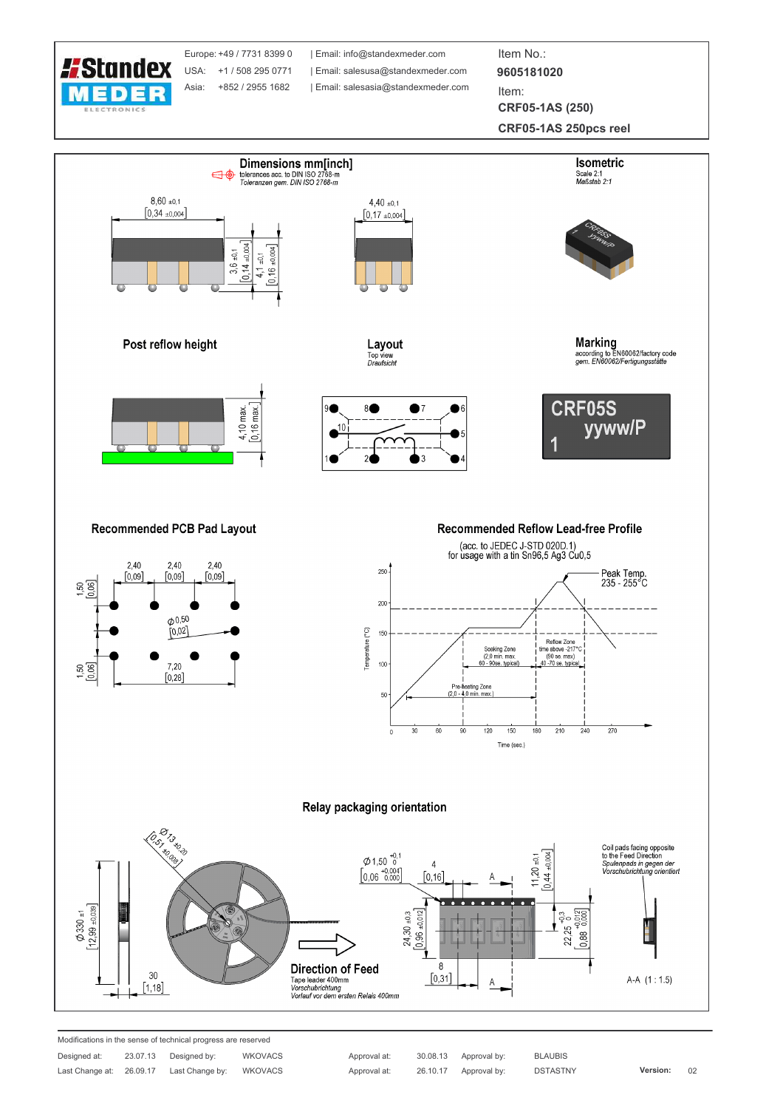

Europe: +49 / 7731 8399 0 USA: +1 / 508 295 0771 Asia: +852 / 2955 1682

| Email: info@standexmeder.com | Email: salesusa@standexmeder.com | Email: salesasia@standexmeder.com

Item No.: 9605181020 Item:

**CRF05-1AS (250)** 

CRF05-1AS 250pcs reel



Approval at: Approval at: 30.08.13 Approval by: 26.10.17 Approval by: